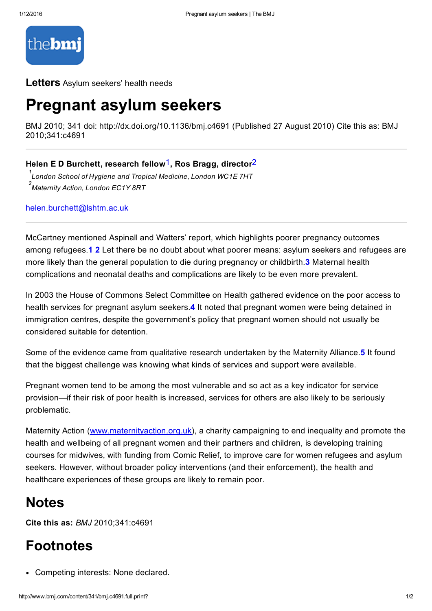

#### Letters Asylum seekers' health needs

## Pregnant asylum seekers

BMJ 2010; 341 doi: http://dx.doi.org/10.1136/bmj.c4691 (Published 27 August 2010) Cite this as: BMJ 2010;341:c4691

### Helen E D Burchett, research fellow<sup>1</sup>, Ros Bragg, director<sup>2</sup>

*London School of Hygiene and Tropical Medicine, London WC1E 7HT 1 Maternity Action, London EC1Y 8RT 2*

[helen.burchett@lshtm.ac.uk](mailto:helen.burchett@lshtm.ac.uk)

McCartney mentioned Aspinall and Watters' report, which highlights poorer pregnancy outcomes among refugees.1 2 Let there be no doubt about what poorer means: asylum seekers and refugees are more likely than the general population to die during pregnancy or childbirth.<sup>3</sup> Maternal health complications and neonatal deaths and complications are likely to be even more prevalent.

In 2003 the House of Commons Select Committee on Health gathered evidence on the poor access to health services for pregnant asylum seekers.4 It noted that pregnant women were being detained in immigration centres, despite the government's policy that pregnant women should not usually be considered suitable for detention.

Some of the evidence came from qualitative research undertaken by the Maternity Alliance.<sup>5</sup> It found that the biggest challenge was knowing what kinds of services and support were available.

Pregnant women tend to be among the most vulnerable and so act as a key indicator for service provision—if their risk of poor health is increased, services for others are also likely to be seriously problematic.

Maternity Action [\(www.maternityaction.org.uk](http://www.maternityaction.org.uk/)), a charity campaigning to end inequality and promote the health and wellbeing of all pregnant women and their partners and children, is developing training courses for midwives, with funding from Comic Relief, to improve care for women refugees and asylum seekers. However, without broader policy interventions (and their enforcement), the health and healthcare experiences of these groups are likely to remain poor.

### **Notes**

Cite this as: *BMJ* 2010;341:c4691

## Footnotes

Competing interests: None declared.